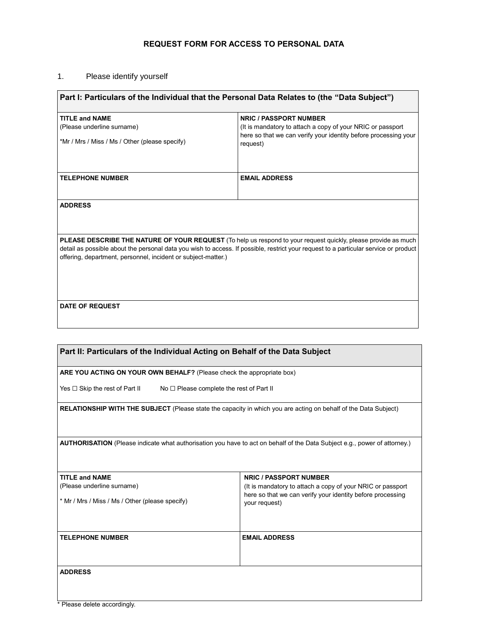## **REQUEST FORM FOR ACCESS TO PERSONAL DATA**

## 1. Please identify yourself

| Part I: Particulars of the Individual that the Personal Data Relates to (the "Data Subject")                                         |                                                                             |  |
|--------------------------------------------------------------------------------------------------------------------------------------|-----------------------------------------------------------------------------|--|
| <b>TITLE and NAME</b>                                                                                                                | <b>NRIC / PASSPORT NUMBER</b>                                               |  |
| (Please underline surname)                                                                                                           | (It is mandatory to attach a copy of your NRIC or passport)                 |  |
| *Mr / Mrs / Miss / Ms / Other (please specify)                                                                                       | here so that we can verify your identity before processing your<br>request) |  |
|                                                                                                                                      |                                                                             |  |
| <b>TELEPHONE NUMBER</b>                                                                                                              | <b>EMAIL ADDRESS</b>                                                        |  |
|                                                                                                                                      |                                                                             |  |
| <b>ADDRESS</b>                                                                                                                       |                                                                             |  |
|                                                                                                                                      |                                                                             |  |
|                                                                                                                                      |                                                                             |  |
| PLEASE DESCRIBE THE NATURE OF YOUR REQUEST (To help us respond to your request quickly, please provide as much                       |                                                                             |  |
| detail as possible about the personal data you wish to access. If possible, restrict your request to a particular service or product |                                                                             |  |
| offering, department, personnel, incident or subject-matter.)                                                                        |                                                                             |  |
|                                                                                                                                      |                                                                             |  |
|                                                                                                                                      |                                                                             |  |
|                                                                                                                                      |                                                                             |  |
| <b>DATE OF REQUEST</b>                                                                                                               |                                                                             |  |
|                                                                                                                                      |                                                                             |  |
|                                                                                                                                      |                                                                             |  |

| Part II: Particulars of the Individual Acting on Behalf of the Data Subject                                               |                                                                                                                                            |  |
|---------------------------------------------------------------------------------------------------------------------------|--------------------------------------------------------------------------------------------------------------------------------------------|--|
| ARE YOU ACTING ON YOUR OWN BEHALF? (Please check the appropriate box)                                                     |                                                                                                                                            |  |
| Yes □ Skip the rest of Part II<br>$No \square$ Please complete the rest of Part II                                        |                                                                                                                                            |  |
| <b>RELATIONSHIP WITH THE SUBJECT</b> (Please state the capacity in which you are acting on behalf of the Data Subject)    |                                                                                                                                            |  |
| AUTHORISATION (Please indicate what authorisation you have to act on behalf of the Data Subject e.g., power of attorney.) |                                                                                                                                            |  |
| <b>TITLE and NAME</b>                                                                                                     | <b>NRIC / PASSPORT NUMBER</b>                                                                                                              |  |
| (Please underline surname)<br>* Mr / Mrs / Miss / Ms / Other (please specify)                                             | (It is mandatory to attach a copy of your NRIC or passport)<br>here so that we can verify your identity before processing<br>your request) |  |
| <b>TELEPHONE NUMBER</b>                                                                                                   | <b>EMAIL ADDRESS</b>                                                                                                                       |  |
| <b>ADDRESS</b>                                                                                                            |                                                                                                                                            |  |

 $\mathsf{r}$